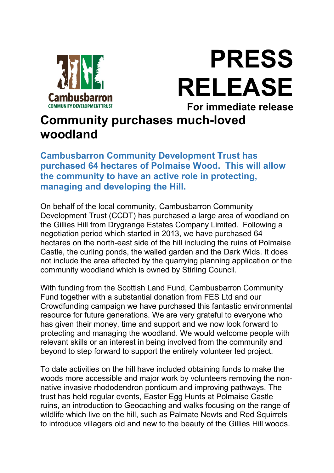

PRESS RELEASE For immediate release

## Community purchases much-loved woodland

Cambusbarron Community Development Trust has purchased 64 hectares of Polmaise Wood. This will allow the community to have an active role in protecting, managing and developing the Hill.

On behalf of the local community, Cambusbarron Community Development Trust (CCDT) has purchased a large area of woodland on the Gillies Hill from Drygrange Estates Company Limited. Following a negotiation period which started in 2013, we have purchased 64 hectares on the north-east side of the hill including the ruins of Polmaise Castle, the curling ponds, the walled garden and the Dark Wids. It does not include the area affected by the quarrying planning application or the community woodland which is owned by Stirling Council.

With funding from the Scottish Land Fund, Cambusbarron Community Fund together with a substantial donation from FES Ltd and our Crowdfunding campaign we have purchased this fantastic environmental resource for future generations. We are very grateful to everyone who has given their money, time and support and we now look forward to protecting and managing the woodland. We would welcome people with relevant skills or an interest in being involved from the community and beyond to step forward to support the entirely volunteer led project.

To date activities on the hill have included obtaining funds to make the woods more accessible and major work by volunteers removing the nonnative invasive rhododendron ponticum and improving pathways. The trust has held regular events, Easter Egg Hunts at Polmaise Castle ruins, an introduction to Geocaching and walks focusing on the range of wildlife which live on the hill, such as Palmate Newts and Red Squirrels to introduce villagers old and new to the beauty of the Gillies Hill woods.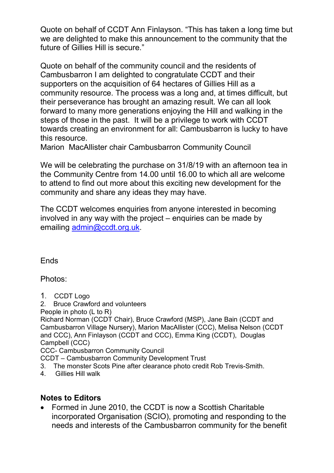Quote on behalf of CCDT Ann Finlayson. "This has taken a long time but we are delighted to make this announcement to the community that the future of Gillies Hill is secure."

Quote on behalf of the community council and the residents of Cambusbarron I am delighted to congratulate CCDT and their supporters on the acquisition of 64 hectares of Gillies Hill as a community resource. The process was a long and, at times difficult, but their perseverance has brought an amazing result. We can all look forward to many more generations enjoying the Hill and walking in the steps of those in the past. It will be a privilege to work with CCDT towards creating an environment for all: Cambusbarron is lucky to have this resource.

Marion MacAllister chair Cambusbarron Community Council

We will be celebrating the purchase on 31/8/19 with an afternoon tea in the Community Centre from 14.00 until 16.00 to which all are welcome to attend to find out more about this exciting new development for the community and share any ideas they may have.

The CCDT welcomes enquiries from anyone interested in becoming involved in any way with the project – enquiries can be made by emailing admin@ccdt.org.uk.

Ends

Photos:

- 1. CCDT Logo
- 2. Bruce Crawford and volunteers
- People in photo (L to R)

Richard Norman (CCDT Chair), Bruce Crawford (MSP), Jane Bain (CCDT and Cambusbarron Village Nursery), Marion MacAllister (CCC), Melisa Nelson (CCDT and CCC), Ann Finlayson (CCDT and CCC), Emma King (CCDT), Douglas Campbell (CCC)

CCC- Cambusbarron Community Council

CCDT – Cambusbarron Community Development Trust

- 3. The monster Scots Pine after clearance photo credit Rob Trevis-Smith.
- 4. Gillies Hill walk

## Notes to Editors

• Formed in June 2010, the CCDT is now a Scottish Charitable incorporated Organisation (SCIO), promoting and responding to the needs and interests of the Cambusbarron community for the benefit